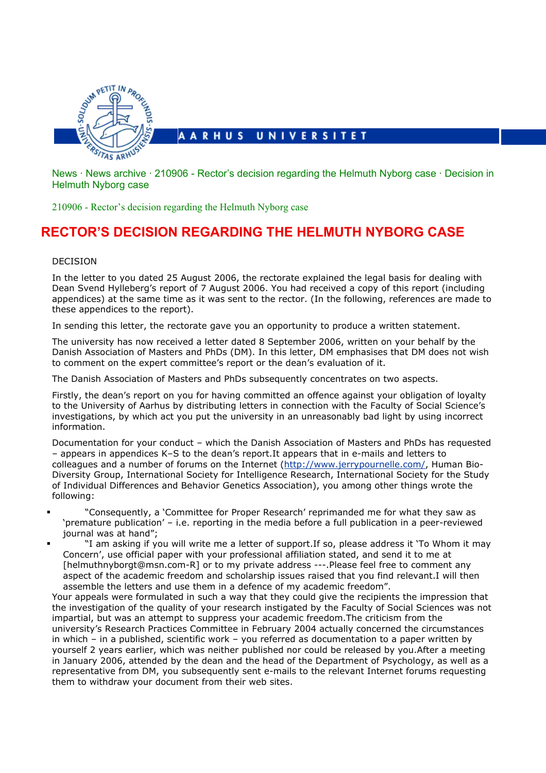

[News](http://www.au.dk/en/news) · News [archive](http://www.au.dk/en/news/archive) · [210906 - Rector's decision regarding the](http://www.au.dk/en/news/210906a) Helmuth Nyborg case · Decision in Helmuth Nyborg case

[210906 - Rector's decision regarding the Helmuth Nyborg case](http://www.au.dk/en/news/210906a) 

## **RECTOR'S DECISION REGARDING THE HELMUTH NYBORG CASE**

## DECISION

In the letter to you dated 25 August 2006, the rectorate explained the legal basis for dealing with Dean Svend Hylleberg's report of 7 August 2006. You had received a copy of this report (including appendices) at the same time as it was sent to the rector. (In the following, references are made to these appendices to the report).

In sending this letter, the rectorate gave you an opportunity to produce a written statement.

The university has now received a letter dated 8 September 2006, written on your behalf by the Danish Association of Masters and PhDs (DM). In this letter, DM emphasises that DM does not wish to comment on the expert committee's report or the dean's evaluation of it.

The Danish Association of Masters and PhDs subsequently concentrates on two aspects.

Firstly, the dean's report on you for having committed an offence against your obligation of loyalty to the University of Aarhus by distributing letters in connection with the Faculty of Social Science's investigations, by which act you put the university in an unreasonably bad light by using incorrect information.

Documentation for your conduct – which the Danish Association of Masters and PhDs has requested – appears in appendices K–S to the dean's report.It appears that in e-mails and letters to colleagues and a number of forums on the Internet (<http://www.jerrypournelle.com/>, Human Bio-Diversity Group, International Society for Intelligence Research, International Society for the Study of Individual Differences and Behavior Genetics Association), you among other things wrote the following:

- "Consequently, a 'Committee for Proper Research' reprimanded me for what they saw as 'premature publication' – i.e. reporting in the media before a full publication in a peer-reviewed journal was at hand";
- "I am asking if you will write me a letter of support.If so, please address it 'To Whom it may Concern', use official paper with your professional affiliation stated, and send it to me at [helmuthnyborgt@msn.com-R] or to my private address ---.Please feel free to comment any aspect of the academic freedom and scholarship issues raised that you find relevant.I will then assemble the letters and use them in a defence of my academic freedom".

Your appeals were formulated in such a way that they could give the recipients the impression that the investigation of the quality of your research instigated by the Faculty of Social Sciences was not impartial, but was an attempt to suppress your academic freedom.The criticism from the university's Research Practices Committee in February 2004 actually concerned the circumstances in which – in a published, scientific work – you referred as documentation to a paper written by yourself 2 years earlier, which was neither published nor could be released by you.After a meeting in January 2006, attended by the dean and the head of the Department of Psychology, as well as a representative from DM, you subsequently sent e-mails to the relevant Internet forums requesting them to withdraw your document from their web sites.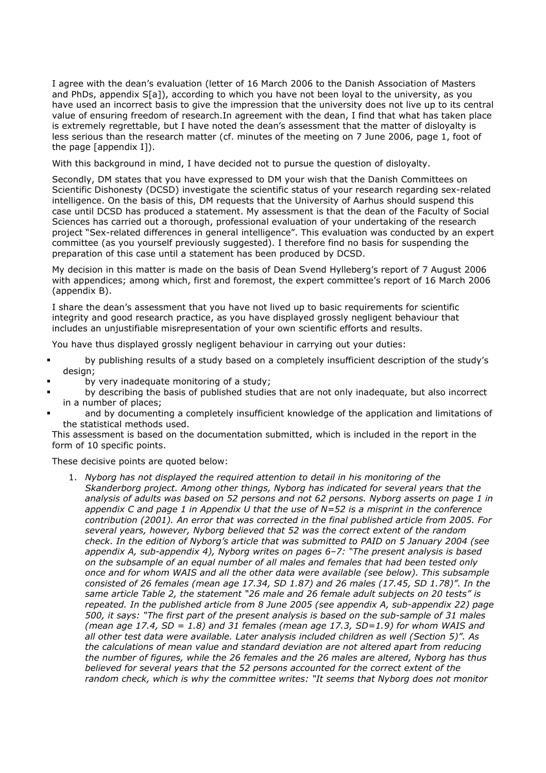I agree with the dean's evaluation (letter of 16 March 2006 to the Danish Association of Masters and PhDs, appendix S[a]), according to which you have not been loyal to the university, as you have used an incorrect basis to give the impression that the university does not live up to its central value of ensuring freedom of research.In agreement with the dean, I find that what has taken place is extremely regrettable, but I have noted the dean's assessment that the matter of disloyalty is less serious than the research matter (cf. minutes of the meeting on 7 June 2006, page 1, foot of the page [appendix I]).

With this background in mind, I have decided not to pursue the question of disloyalty.

Secondly, DM states that you have expressed to DM your wish that the Danish Committees on Scientific Dishonesty (DCSD) investigate the scientific status of your research regarding sex-related intelligence. On the basis of this, DM requests that the University of Aarhus should suspend this case until DCSD has produced a statement. My assessment is that the dean of the Faculty of Social Sciences has carried out a thorough, professional evaluation of your undertaking of the research project "Sex-related differences in general intelligence". This evaluation was conducted by an expert committee (as you yourself previously suggested). I therefore find no basis for suspending the preparation of this case until a statement has been produced by DCSD.

My decision in this matter is made on the basis of Dean Svend Hylleberg's report of 7 August 2006 with appendices; among which, first and foremost, the expert committee's report of 16 March 2006 (appendix B).

I share the dean's assessment that you have not lived up to basic requirements for scientific integrity and good research practice, as you have displayed grossly negligent behaviour that includes an unjustifiable misrepresentation of your own scientific efforts and results.

You have thus displayed grossly negligent behaviour in carrying out your duties:

- by publishing results of a study based on a completely insufficient description of the study's design:
- by very inadequate monitoring of a study;
- by describing the basis of published studies that are not only inadequate, but also incorrect in a number of places;
- and by documenting a completely insufficient knowledge of the application and limitations of the statistical methods used.

This assessment is based on the documentation submitted, which is included in the report in the form of 10 specific points.

These decisive points are quoted below:

1. *Nyborg has not displayed the required attention to detail in his monitoring of the Skanderborg project. Among other things, Nyborg has indicated for several years that the analysis of adults was based on 52 persons and not 62 persons. Nyborg asserts on page 1 in appendix C and page 1 in Appendix U that the use of N=52 is a misprint in the conference contribution (2001). An error that was corrected in the final published article from 2005. For several years, however, Nyborg believed that 52 was the correct extent of the random check. In the edition of Nyborg's article that was submitted to PAID on 5 January 2004 (see appendix A, sub-appendix 4), Nyborg writes on pages 6–7: "The present analysis is based on the subsample of an equal number of all males and females that had been tested only once and for whom WAIS and all the other data were available (see below). This subsample consisted of 26 females (mean age 17.34, SD 1.87) and 26 males (17.45, SD 1.78)". In the same article Table 2, the statement "26 male and 26 female adult subjects on 20 tests" is repeated. In the published article from 8 June 2005 (see appendix A, sub-appendix 22) page 500, it says: "The first part of the present analysis is based on the sub-sample of 31 males (mean age 17.4, SD = 1.8) and 31 females (mean age 17.3, SD=1.9) for whom WAIS and all other test data were available. Later analysis included children as well (Section 5)". As the calculations of mean value and standard deviation are not altered apart from reducing the number of figures, while the 26 females and the 26 males are altered, Nyborg has thus believed for several years that the 52 persons accounted for the correct extent of the random check, which is why the committee writes: "It seems that Nyborg does not monitor*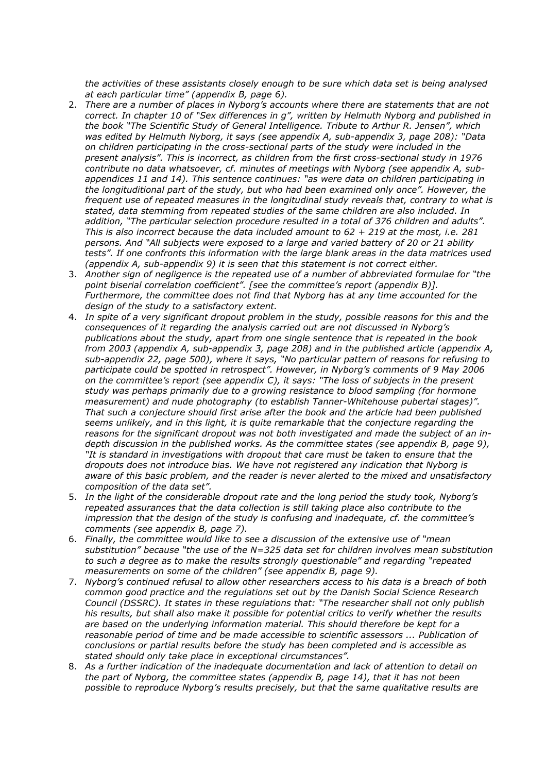*the activities of these assistants closely enough to be sure which data set is being analysed at each particular time" (appendix B, page 6).*

- 2. *There are a number of places in Nyborg's accounts where there are statements that are not correct. In chapter 10 of "Sex differences in g", written by Helmuth Nyborg and published in the book "The Scientific Study of General Intelligence. Tribute to Arthur R. Jensen", which was edited by Helmuth Nyborg, it says (see appendix A, sub-appendix 3, page 208): "Data on children participating in the cross-sectional parts of the study were included in the present analysis". This is incorrect, as children from the first cross-sectional study in 1976 contribute no data whatsoever, cf. minutes of meetings with Nyborg (see appendix A, subappendices 11 and 14). This sentence continues: "as were data on children participating in the longituditional part of the study, but who had been examined only once". However, the frequent use of repeated measures in the longitudinal study reveals that, contrary to what is stated, data stemming from repeated studies of the same children are also included. In addition, "The particular selection procedure resulted in a total of 376 children and adults". This is also incorrect because the data included amount to 62 + 219 at the most, i.e. 281 persons. And "All subjects were exposed to a large and varied battery of 20 or 21 ability tests". If one confronts this information with the large blank areas in the data matrices used (appendix A, sub-appendix 9) it is seen that this statement is not correct either.*
- 3. *Another sign of negligence is the repeated use of a number of abbreviated formulae for "the point biserial correlation coefficient". [see the committee's report (appendix B)]. Furthermore, the committee does not find that Nyborg has at any time accounted for the design of the study to a satisfactory extent.*
- 4. *In spite of a very significant dropout problem in the study, possible reasons for this and the consequences of it regarding the analysis carried out are not discussed in Nyborg's publications about the study, apart from one single sentence that is repeated in the book from 2003 (appendix A, sub-appendix 3, page 208) and in the published article (appendix A, sub-appendix 22, page 500), where it says, "No particular pattern of reasons for refusing to participate could be spotted in retrospect". However, in Nyborg's comments of 9 May 2006 on the committee's report (see appendix C), it says: "The loss of subjects in the present study was perhaps primarily due to a growing resistance to blood sampling (for hormone measurement) and nude photography (to establish Tanner-Whitehouse pubertal stages)". That such a conjecture should first arise after the book and the article had been published seems unlikely, and in this light, it is quite remarkable that the conjecture regarding the reasons for the significant dropout was not both investigated and made the subject of an indepth discussion in the published works. As the committee states (see appendix B, page 9), "It is standard in investigations with dropout that care must be taken to ensure that the dropouts does not introduce bias. We have not registered any indication that Nyborg is aware of this basic problem, and the reader is never alerted to the mixed and unsatisfactory composition of the data set".*
- 5. *In the light of the considerable dropout rate and the long period the study took, Nyborg's repeated assurances that the data collection is still taking place also contribute to the impression that the design of the study is confusing and inadequate, cf. the committee's comments (see appendix B, page 7).*
- 6. *Finally, the committee would like to see a discussion of the extensive use of "mean substitution" because "the use of the N=325 data set for children involves mean substitution to such a degree as to make the results strongly questionable" and regarding "repeated measurements on some of the children" (see appendix B, page 9).*
- 7. *Nyborg's continued refusal to allow other researchers access to his data is a breach of both common good practice and the regulations set out by the Danish Social Science Research Council (DSSRC). It states in these regulations that: "The researcher shall not only publish his results, but shall also make it possible for potential critics to verify whether the results are based on the underlying information material. This should therefore be kept for a reasonable period of time and be made accessible to scientific assessors ... Publication of conclusions or partial results before the study has been completed and is accessible as stated should only take place in exceptional circumstances".*
- 8. *As a further indication of the inadequate documentation and lack of attention to detail on the part of Nyborg, the committee states (appendix B, page 14), that it has not been possible to reproduce Nyborg's results precisely, but that the same qualitative results are*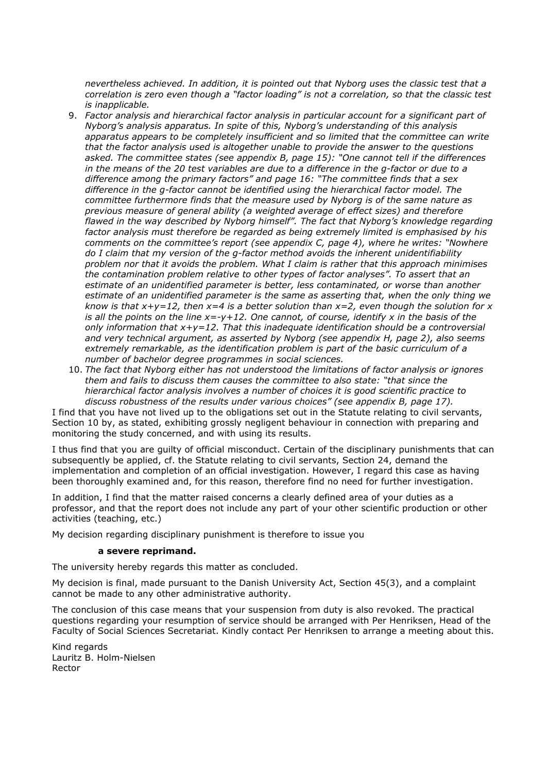*nevertheless achieved. In addition, it is pointed out that Nyborg uses the classic test that a correlation is zero even though a "factor loading" is not a correlation, so that the classic test is inapplicable.*

- 9. *Factor analysis and hierarchical factor analysis in particular account for a significant part of Nyborg's analysis apparatus. In spite of this, Nyborg's understanding of this analysis apparatus appears to be completely insufficient and so limited that the committee can write that the factor analysis used is altogether unable to provide the answer to the questions asked. The committee states (see appendix B, page 15): "One cannot tell if the differences in the means of the 20 test variables are due to a difference in the g-factor or due to a difference among the primary factors" and page 16: "The committee finds that a sex difference in the g-factor cannot be identified using the hierarchical factor model. The committee furthermore finds that the measure used by Nyborg is of the same nature as previous measure of general ability (a weighted average of effect sizes) and therefore flawed in the way described by Nyborg himself". The fact that Nyborg's knowledge regarding factor analysis must therefore be regarded as being extremely limited is emphasised by his comments on the committee's report (see appendix C, page 4), where he writes: "Nowhere do I claim that my version of the g-factor method avoids the inherent unidentifiability problem nor that it avoids the problem. What I claim is rather that this approach minimises the contamination problem relative to other types of factor analyses". To assert that an estimate of an unidentified parameter is better, less contaminated, or worse than another estimate of an unidentified parameter is the same as asserting that, when the only thing we know is that x+y=12, then x=4 is a better solution than x=2, even though the solution for x is all the points on the line x=-y+12. One cannot, of course, identify x in the basis of the only information that x+y=12. That this inadequate identification should be a controversial and very technical argument, as asserted by Nyborg (see appendix H, page 2), also seems extremely remarkable, as the identification problem is part of the basic curriculum of a number of bachelor degree programmes in social sciences.*
- 10. *The fact that Nyborg either has not understood the limitations of factor analysis or ignores them and fails to discuss them causes the committee to also state: "that since the hierarchical factor analysis involves a number of choices it is good scientific practice to discuss robustness of the results under various choices" (see appendix B, page 17).*

I find that you have not lived up to the obligations set out in the Statute relating to civil servants, Section 10 by, as stated, exhibiting grossly negligent behaviour in connection with preparing and monitoring the study concerned, and with using its results.

I thus find that you are guilty of official misconduct. Certain of the disciplinary punishments that can subsequently be applied, cf. the Statute relating to civil servants, Section 24, demand the implementation and completion of an official investigation. However, I regard this case as having been thoroughly examined and, for this reason, therefore find no need for further investigation.

In addition, I find that the matter raised concerns a clearly defined area of your duties as a professor, and that the report does not include any part of your other scientific production or other activities (teaching, etc.)

My decision regarding disciplinary punishment is therefore to issue you

## **a severe reprimand.**

The university hereby regards this matter as concluded.

My decision is final, made pursuant to the Danish University Act, Section 45(3), and a complaint cannot be made to any other administrative authority.

The conclusion of this case means that your suspension from duty is also revoked. The practical questions regarding your resumption of service should be arranged with Per Henriksen, Head of the Faculty of Social Sciences Secretariat. Kindly contact Per Henriksen to arrange a meeting about this.

Kind regards Lauritz B. Holm-Nielsen Rector